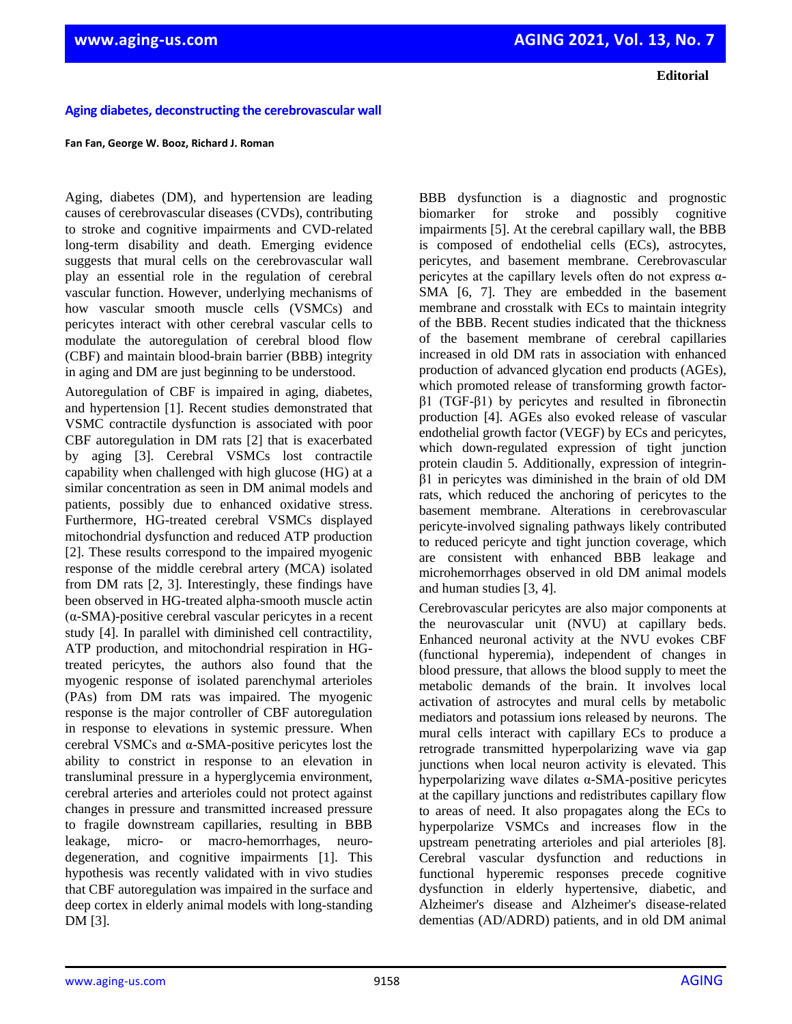**Editorial**

## **Aging diabetes, deconstructing the cerebrovascular wall**

## **Fan Fan, George W. Booz, Richard J. Roman**

Aging, diabetes (DM), and hypertension are leading causes of cerebrovascular diseases (CVDs), contributing to stroke and cognitive impairments and CVD-related long-term disability and death. Emerging evidence suggests that mural cells on the cerebrovascular wall play an essential role in the regulation of cerebral vascular function. However, underlying mechanisms of how vascular smooth muscle cells (VSMCs) and pericytes interact with other cerebral vascular cells to modulate the autoregulation of cerebral blood flow (CBF) and maintain blood-brain barrier (BBB) integrity in aging and DM are just beginning to be understood.

Autoregulation of CBF is impaired in aging, diabetes, and hypertension [1]. Recent studies demonstrated that VSMC contractile dysfunction is associated with poor CBF autoregulation in DM rats [2] that is exacerbated by aging [3]. Cerebral VSMCs lost contractile capability when challenged with high glucose (HG) at a similar concentration as seen in DM animal models and patients, possibly due to enhanced oxidative stress. Furthermore, HG-treated cerebral VSMCs displayed mitochondrial dysfunction and reduced ATP production [2]. These results correspond to the impaired myogenic response of the middle cerebral artery (MCA) isolated from DM rats [2, 3]. Interestingly, these findings have been observed in HG-treated alpha-smooth muscle actin (α-SMA)-positive cerebral vascular pericytes in a recent study [4]. In parallel with diminished cell contractility, ATP production, and mitochondrial respiration in HGtreated pericytes, the authors also found that the myogenic response of isolated parenchymal arterioles (PAs) from DM rats was impaired. The myogenic response is the major controller of CBF autoregulation in response to elevations in systemic pressure. When cerebral VSMCs and α-SMA-positive pericytes lost the ability to constrict in response to an elevation in transluminal pressure in a hyperglycemia environment, cerebral arteries and arterioles could not protect against changes in pressure and transmitted increased pressure to fragile downstream capillaries, resulting in BBB leakage, micro- or macro-hemorrhages, neurodegeneration, and cognitive impairments [1]. This hypothesis was recently validated with in vivo studies that CBF autoregulation was impaired in the surface and deep cortex in elderly animal models with long-standing DM [3].

BBB dysfunction is a diagnostic and prognostic biomarker for stroke and possibly cognitive impairments [5]. At the cerebral capillary wall, the BBB is composed of endothelial cells (ECs), astrocytes, pericytes, and basement membrane. Cerebrovascular pericytes at the capillary levels often do not express  $\alpha$ -SMA [6, 7]. They are embedded in the basement membrane and crosstalk with ECs to maintain integrity of the BBB. Recent studies indicated that the thickness of the basement membrane of cerebral capillaries increased in old DM rats in association with enhanced production of advanced glycation end products (AGEs), which promoted release of transforming growth factorβ1 (TGF-β1) by pericytes and resulted in fibronectin production [4]. AGEs also evoked release of vascular endothelial growth factor (VEGF) by ECs and pericytes, which down-regulated expression of tight junction protein claudin 5. Additionally, expression of integrinβ1 in pericytes was diminished in the brain of old DM rats, which reduced the anchoring of pericytes to the basement membrane. Alterations in cerebrovascular pericyte-involved signaling pathways likely contributed to reduced pericyte and tight junction coverage, which are consistent with enhanced BBB leakage and microhemorrhages observed in old DM animal models and human studies [3, 4].

Cerebrovascular pericytes are also major components at the neurovascular unit (NVU) at capillary beds. Enhanced neuronal activity at the NVU evokes CBF (functional hyperemia), independent of changes in blood pressure, that allows the blood supply to meet the metabolic demands of the brain. It involves local activation of astrocytes and mural cells by metabolic mediators and potassium ions released by neurons. The mural cells interact with capillary ECs to produce a retrograde transmitted hyperpolarizing wave via gap junctions when local neuron activity is elevated. This hyperpolarizing wave dilates α-SMA-positive pericytes at the capillary junctions and redistributes capillary flow to areas of need. It also propagates along the ECs to hyperpolarize VSMCs and increases flow in the upstream penetrating arterioles and pial arterioles [8]. Cerebral vascular dysfunction and reductions in functional hyperemic responses precede cognitive dysfunction in elderly hypertensive, diabetic, and Alzheimer's disease and Alzheimer's disease-related dementias (AD/ADRD) patients, and in old DM animal